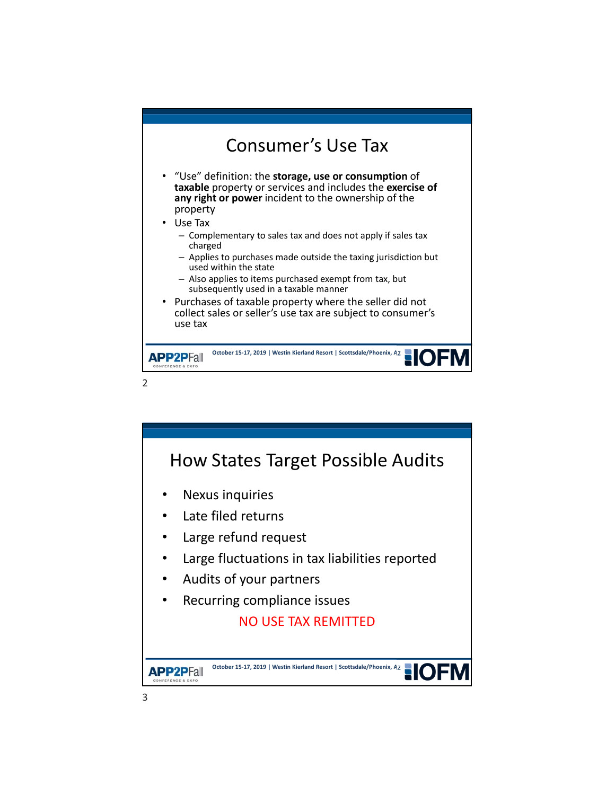

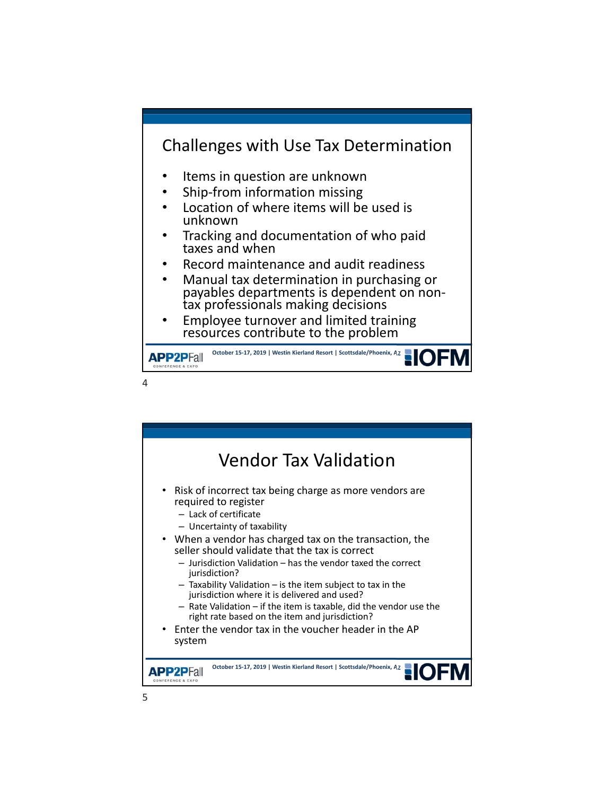

- Items in question are unknown
- Ship-from information missing
- Location of where items will be used is unknown
- Tracking and documentation of who paid taxes and when
- Record maintenance and audit readiness
- Manual tax determination in purchasing or payables departments is dependent on non‐ tax professionals making decisions
- Employee turnover and limited training resources contribute to the problem

**October 15-17, 2019 | Westin Kierland Resort | Scottsdale/Phoenix, AZ APP2PFall** CONFERENCE & EXPO

 $\Delta$ 

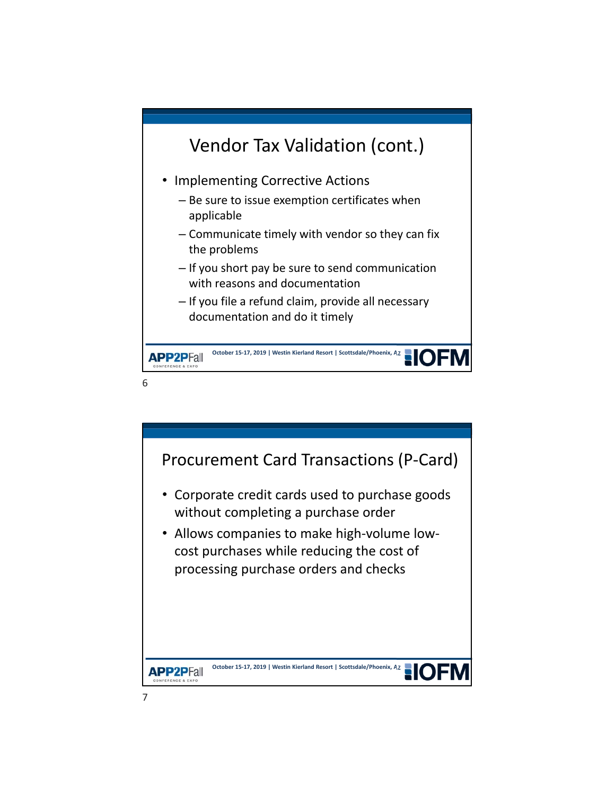

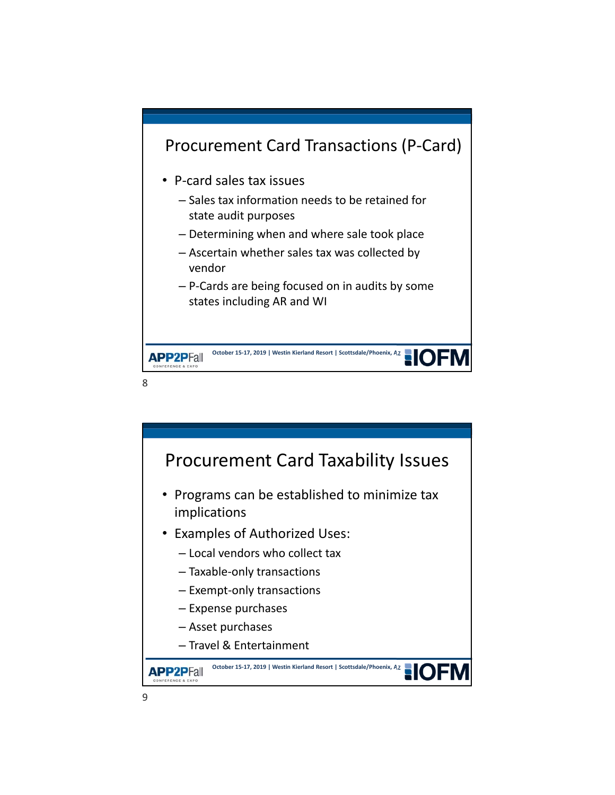

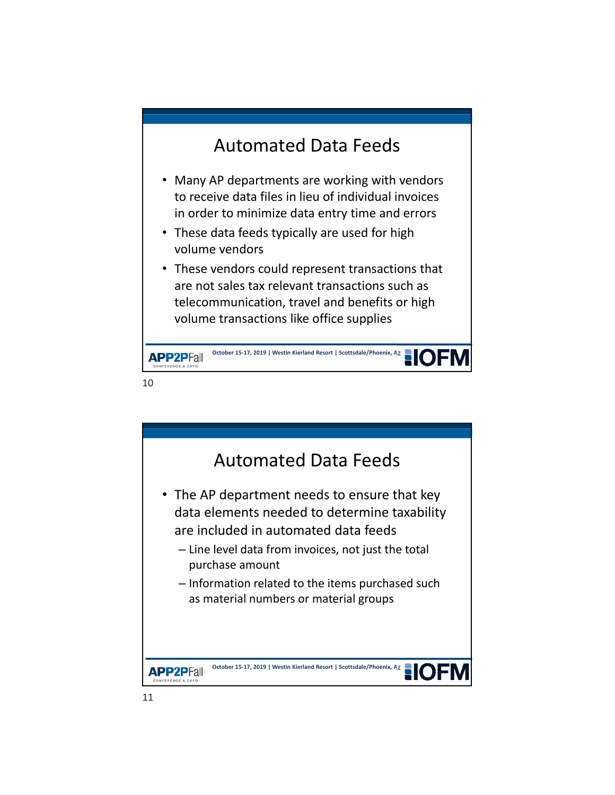# Automated Data Feeds

- Many AP departments are working with vendors to receive data files in lieu of individual invoices in order to minimize data entry time and errors
- These data feeds typically are used for high volume vendors
- These vendors could represent transactions that are not sales tax relevant transactions such as telecommunication, travel and benefits or high volume transactions like office supplies



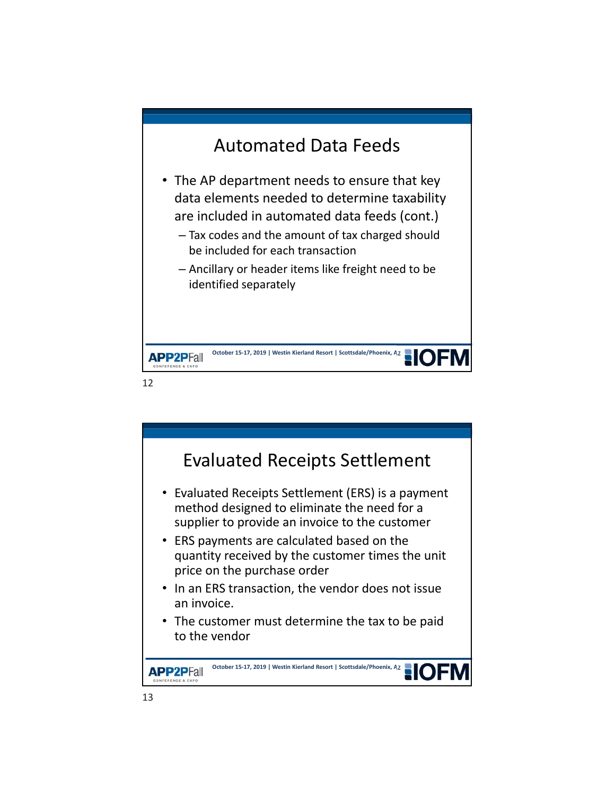

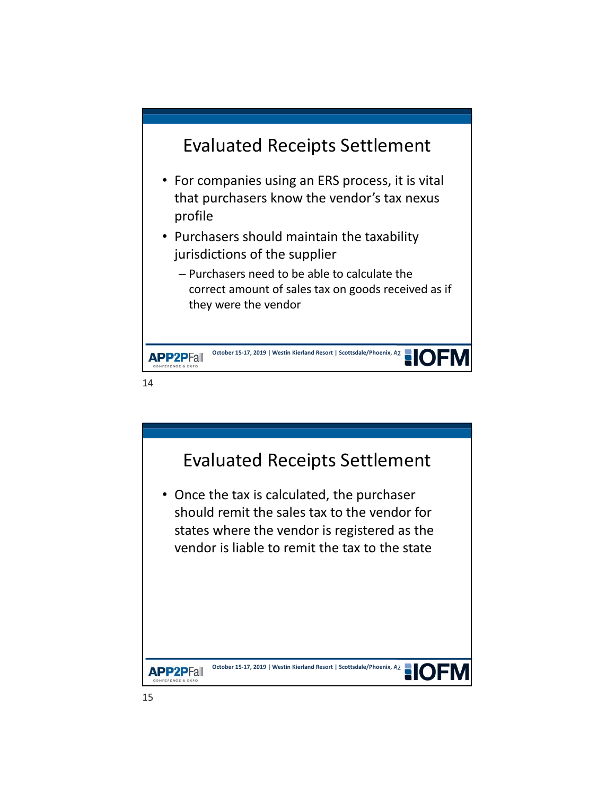

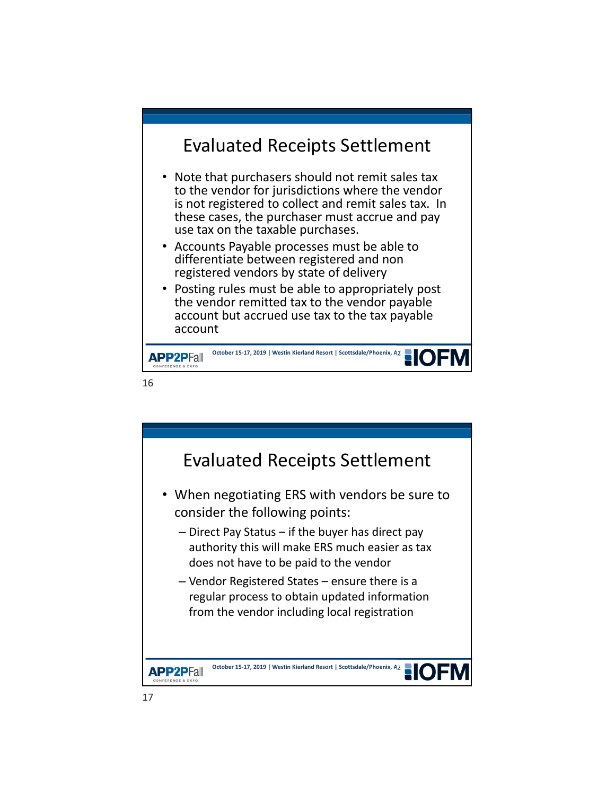## Evaluated Receipts Settlement

- Note that purchasers should not remit sales tax to the vendor for jurisdictions where the vendor is not registered to collect and remit sales tax. In these cases, the purchaser must accrue and pay use tax on the taxable purchases.
- Accounts Payable processes must be able to differentiate between registered and non registered vendors by state of delivery
- Posting rules must be able to appropriately post the vendor remitted tax to the vendor payable account but accrued use tax to the tax payable account



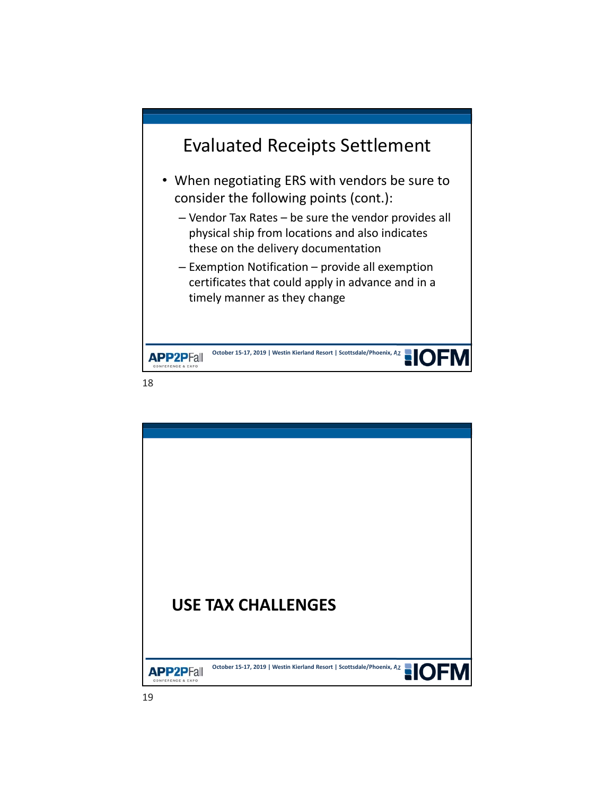

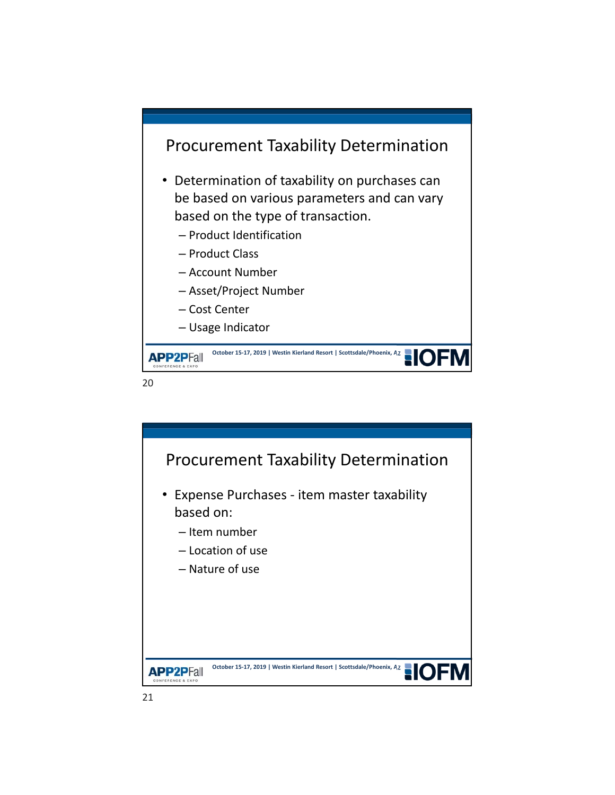



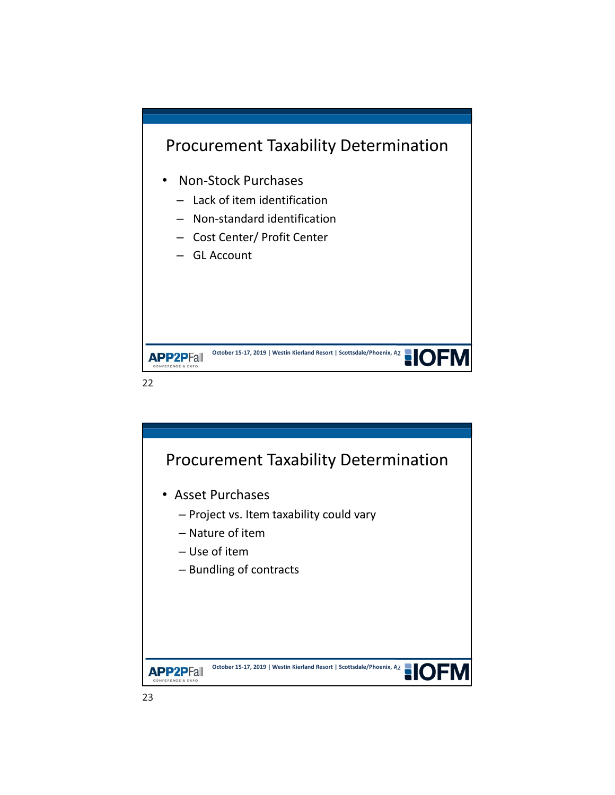



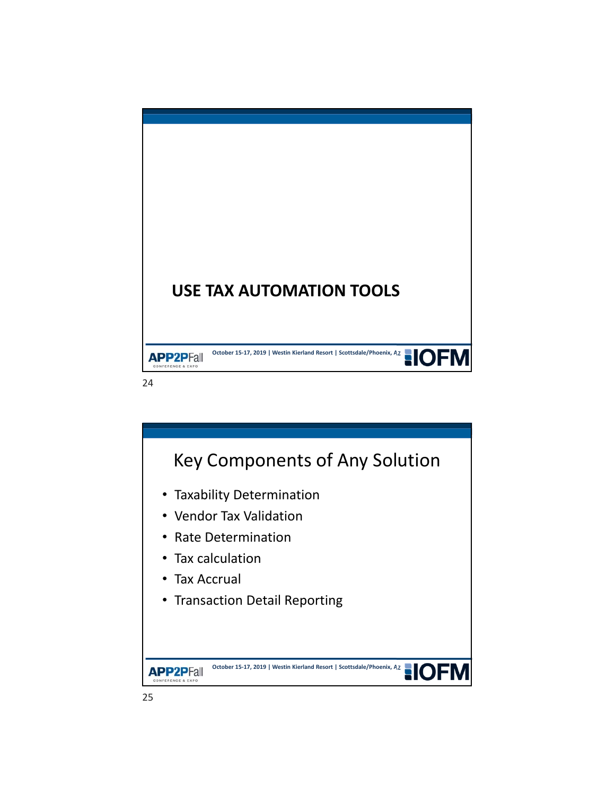

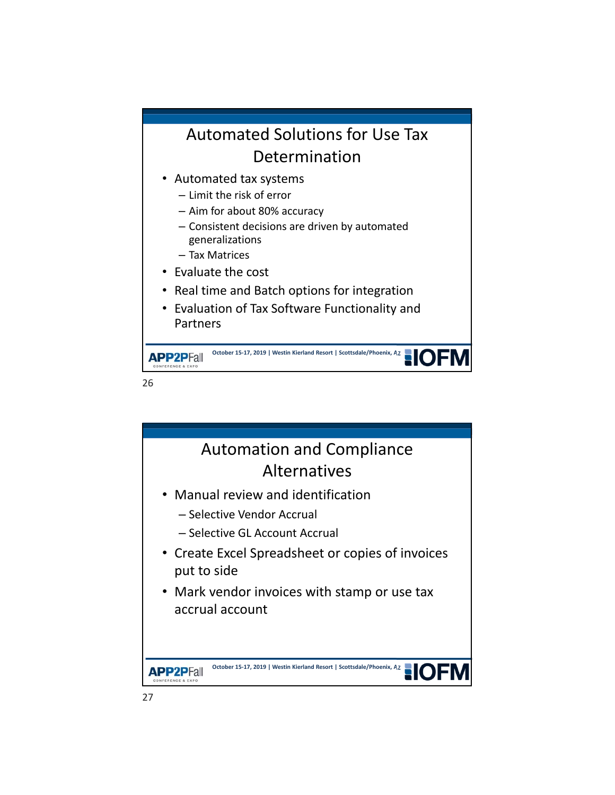# Automated Solutions for Use Tax Determination

- Automated tax systems
	- Limit the risk of error
	- Aim for about 80% accuracy
	- Consistent decisions are driven by automated generalizations
	- Tax Matrices
- Evaluate the cost
- Real time and Batch options for integration
- Evaluation of Tax Software Functionality and Partners

October 15-17, 2019 | Westin Kierland Resort | Scottsdale/Phoenix, AZ **APP2PFall** 

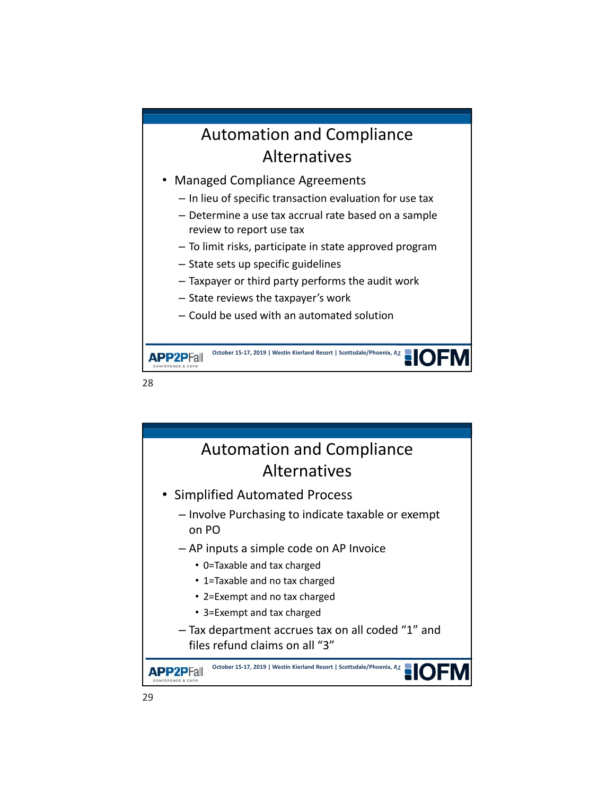## Automation and Compliance Alternatives

- Managed Compliance Agreements
	- In lieu of specific transaction evaluation for use tax
	- Determine a use tax accrual rate based on a sample review to report use tax
	- To limit risks, participate in state approved program
	- State sets up specific guidelines
	- Taxpayer or third party performs the audit work
	- State reviews the taxpayer's work
	- Could be used with an automated solution

**October 15-17, 2019 | Westin Kierland Resort | Scottsdale/Phoenix, AZ APP2PFall** 

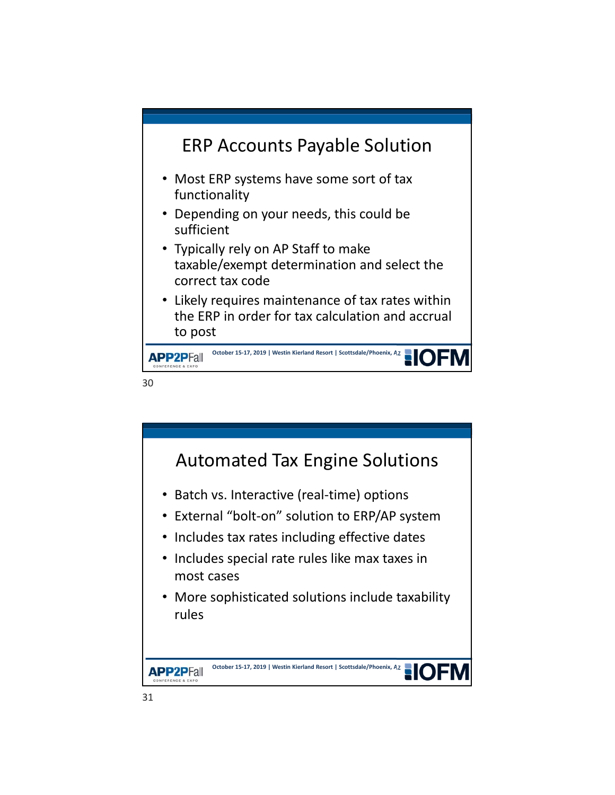

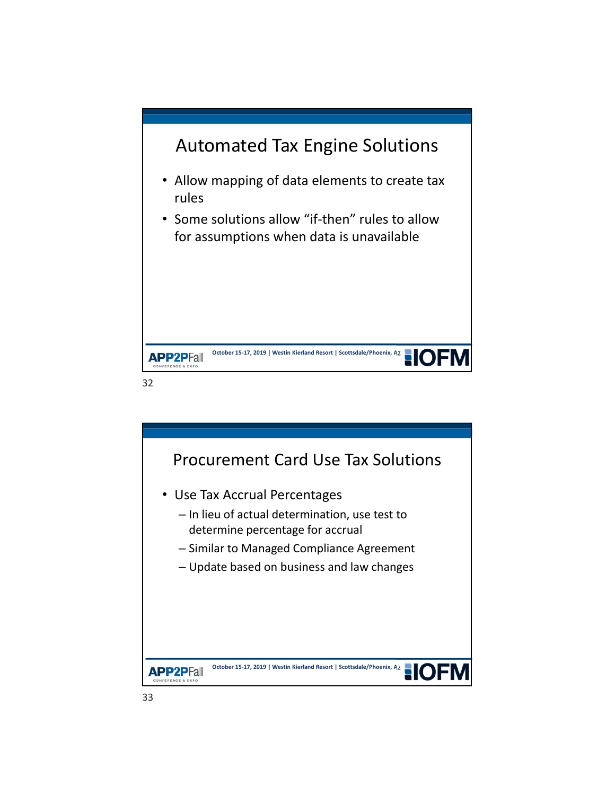

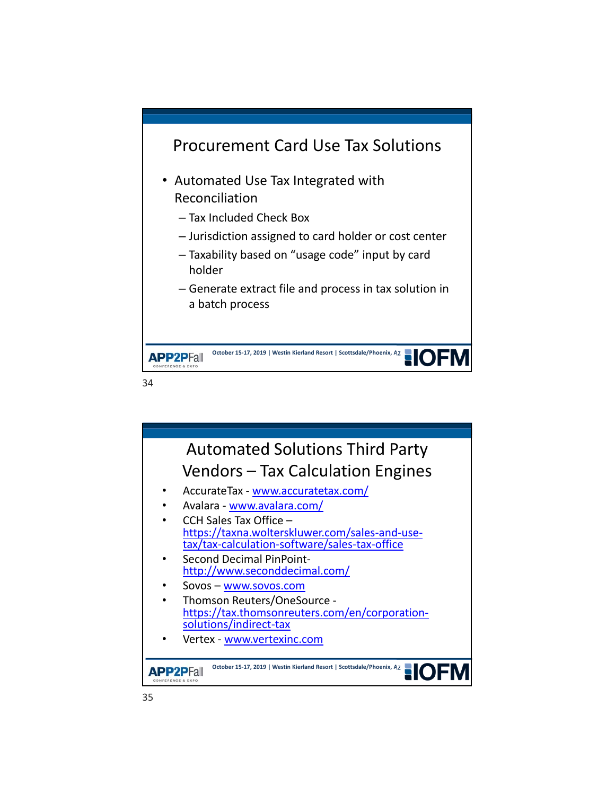



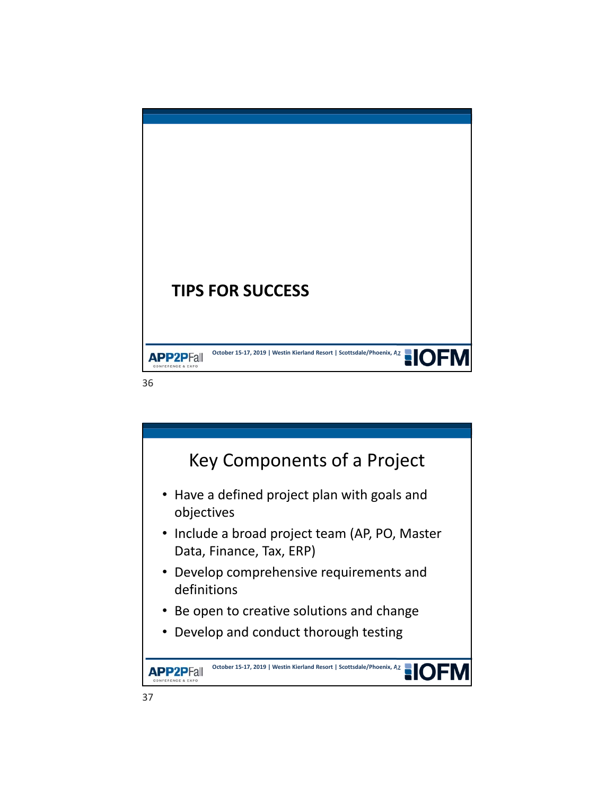

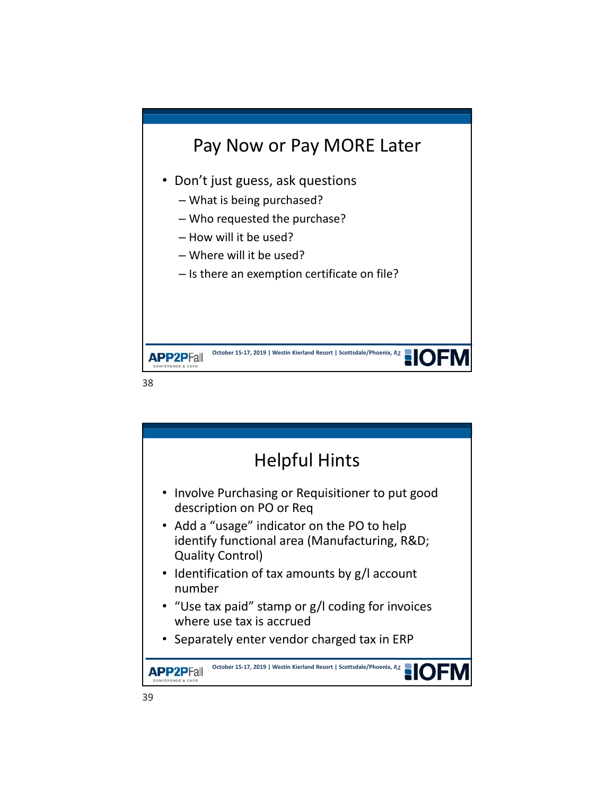

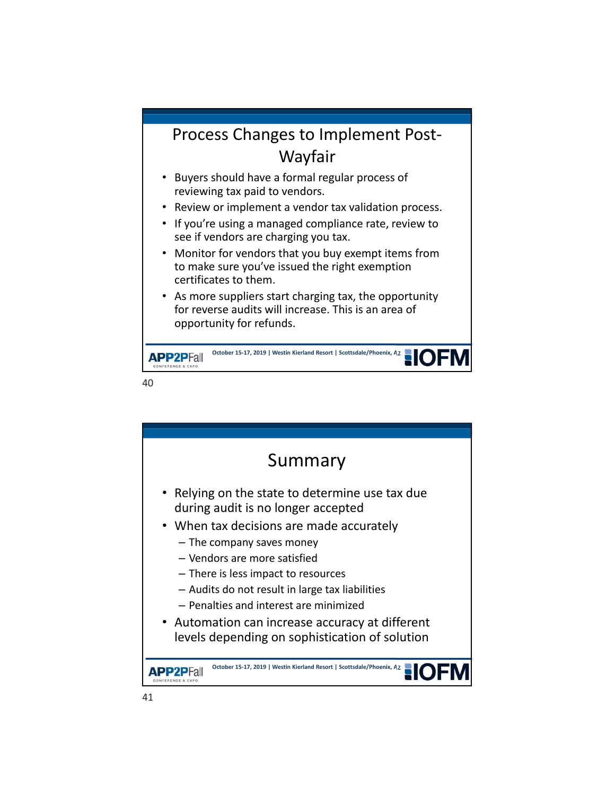#### Process Changes to Implement Post‐ Wayfair

- Buyers should have a formal regular process of reviewing tax paid to vendors.
- Review or implement a vendor tax validation process.
- If you're using a managed compliance rate, review to see if vendors are charging you tax.
- Monitor for vendors that you buy exempt items from to make sure you've issued the right exemption certificates to them.
- As more suppliers start charging tax, the opportunity for reverse audits will increase. This is an area of opportunity for refunds.

October 15‐17, 2019 | Westin Kierland Resort | Scottsdale/Phoenix, AZ<br> **OLESCORES APP2PFall** 

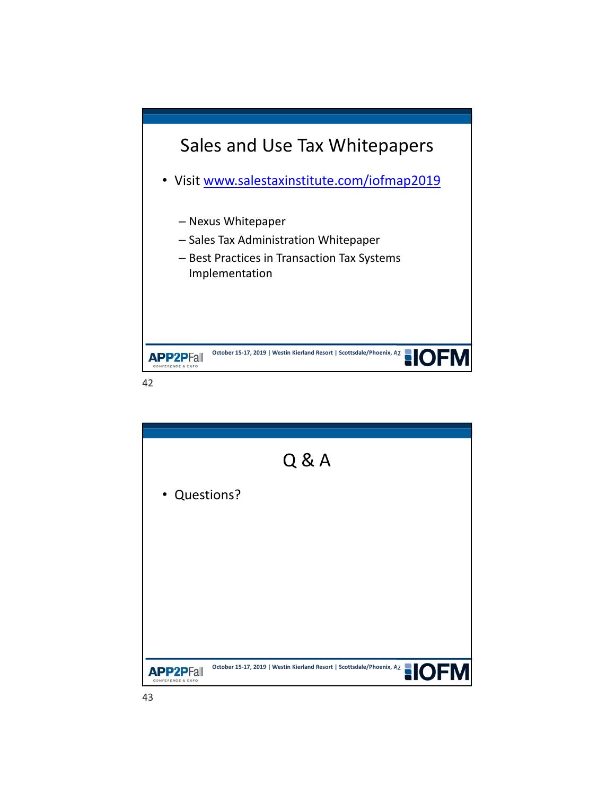